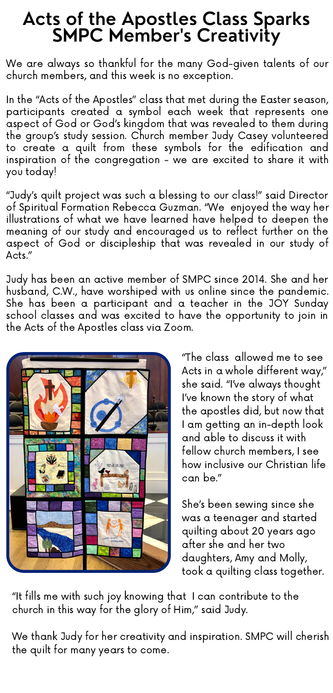# **Acts of the Apostles Class Sparks SMPC Member's Creativity**

We are always so thankful for the many God-given talents of our church members, and this week is no exception.

In the "Acts of the Apostles" class that met during the Easter season, participants created a symbol each week that represents one aspect of God or God's kingdom that was revealed to them during the group's study session. Church member Judy Casey volunteered to create a quilt from these symbols for the edification and inspiration of the congregation - we are excited to share it with you today!

"Judy's quilt project was such a blessing to our class!" said Director of Spiritual Formation Rebecca Guzman. "We enjoyed the way her illustrations of what we have learned have helped to deepen the meaning of our study and encouraged us to reflect further on the aspect of God or discipleship that was revealed in our study of Acts."

Judy has been an active member of SMPC since 2014. She and her husband, C.W., have worshiped with us online since the pandemic. She has been a participant and a teacher in the JOY Sunday school classes and was excited to have the opportunity to join in the Acts of the Apostles class via Zoom.



"The class allowed me to see Acts in a whole different way," she said. "I've always thought I've known the story of what the apostles did, but now that I am getting an in-depth look and able to discuss it with fellow church members, I see how inclusive our Christian life can be."

She's been sewing since she was a teenager and started quilting about 20 years ago after she and her two daughters, Amy and Molly, took a quilting class together.

"It fills me with such joy knowing that I can contribute to the church in this way for the glory of Him," said Judy.

We thank Judy for her creativity and inspiration. SMPC will cherish the quilt for many years to come.